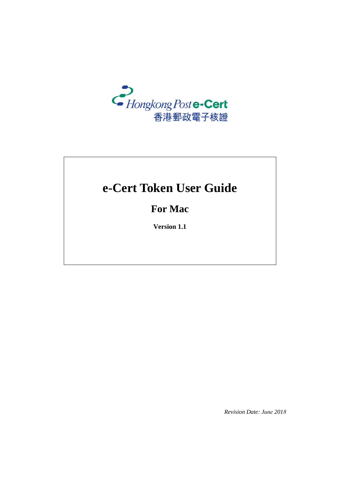

# **e-Cert Token User Guide**

## **For Mac**

**Version 1.1**

*Revision Date: June 2018*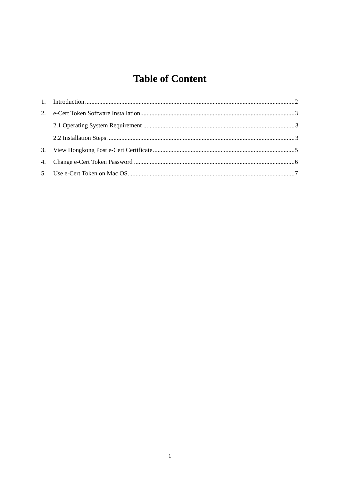# **Table of Content**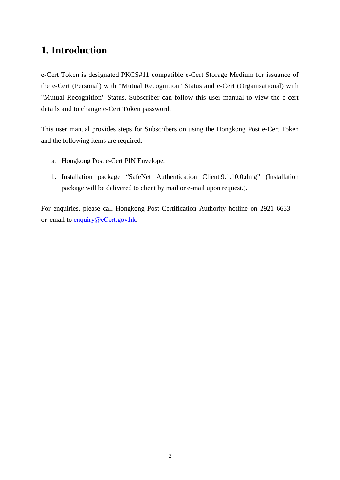### **1. Introduction**

e-Cert Token is designated PKCS#11 compatible e-Cert Storage Medium for issuance of the e-Cert (Personal) with "Mutual Recognition" Status and e-Cert (Organisational) with "Mutual Recognition" Status. Subscriber can follow this user manual to view the e-cert details and to change e-Cert Token password.

This user manual provides steps for Subscribers on using the Hongkong Post e-Cert Token and the following items are required:

- a. Hongkong Post e-Cert PIN Envelope.
- b. Installation package "SafeNet Authentication Client.9.1.10.0.dmg" (Installation package will be delivered to client by mail or e-mail upon request.).

For enquiries, please call Hongkong Post Certification Authority hotline on 2921 6633 or email to [enquiry@](mailto:enquiry@eCert.gov.hk)eCert.gov.hk.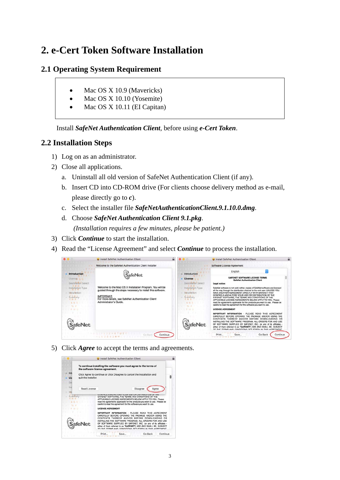# **2. e-Cert Token Software Installation**

#### **2.1 Operating System Requirement**

- Mac OS X 10.9 (Mavericks)
- Mac OS X 10.10 (Yosemite)
- Mac OS X 10.11 (EI Capitan)

Install *SafeNet Authentication Client*, before using *e-Cert Token*.

#### **2.2 Installation Steps**

- 1) Log on as an administrator.
- 2) Close all applications.
	- a. Uninstall all old version of SafeNet Authentication Client (if any).
	- b. Insert CD into CD-ROM drive (For clients choose delivery method as e-mail, please directly go to *c*).
	- c. Select the installer file *SafeNetAuthenticationClient.9.1.10.0.dmg*.
	- d. Choose *SafeNet Authentication Client 9.1.pkg*. *(Installation requires a few minutes, please be patient.)*
- 3) Click *Continue* to start the installation.
- 4) Read the "License Agreement" and select *Continue* to process the installation.

|                                                                                           | a<br>Install SafeNet Authentication Client                                                                                                                                                                                      |                                                                                                        | Install SafeNet Authentication Client                                                                                                                                                                                                                                                                                                                                                                                                                                                                                                                                                            |
|-------------------------------------------------------------------------------------------|---------------------------------------------------------------------------------------------------------------------------------------------------------------------------------------------------------------------------------|--------------------------------------------------------------------------------------------------------|--------------------------------------------------------------------------------------------------------------------------------------------------------------------------------------------------------------------------------------------------------------------------------------------------------------------------------------------------------------------------------------------------------------------------------------------------------------------------------------------------------------------------------------------------------------------------------------------------|
|                                                                                           | Welcome to the SafeNet Authentication Client Installer                                                                                                                                                                          |                                                                                                        | Software License Agreement                                                                                                                                                                                                                                                                                                                                                                                                                                                                                                                                                                       |
| <b>Introduction</b>                                                                       | <b>SafeNet</b>                                                                                                                                                                                                                  | Introduction                                                                                           | English<br>SAFENET SOFTWARE LICENSE TERMS                                                                                                                                                                                                                                                                                                                                                                                                                                                                                                                                                        |
| License c.c.<br>Destination Select<br>Installation Type<br><b>Histallation</b><br>Summary | Welcome to the Mac OS X Installation Program. You will be<br>guided through the steps necessary to install this software.<br><b>IMPORTANT:</b><br>For more details, see SafeNet Authentication Client<br>Administrator's Guide. | License<br>Destination Select<br>Installation Type<br>Installation<br>Summary<br><b>CALLE</b><br>6.6.5 | <b>SafeNet Authentication Client</b><br>Legal notice:<br>SafeNet software is not sold; rather, copies of SafeNet software are licensed<br>all the way through the distribution channel to the end user. UNLESS YOU<br>HAVE ANOTHER AGREEMENT DIRECTLY WITH SAFENET THAT<br>CONTROLS AND ALTERS YOUR USE OR DISTRIBUTION OF THE<br>SAFENET SOFTWARE. THE TERMS AND CONDITIONS OF THE<br>APPLICABLE LICENSE AGREEMENTS BELOW APPLY TO YOU. Please<br>read the agreements applicable for the products you want to use. Please be<br>careful to read the agreement for the software you want to use. |
| W U                                                                                       |                                                                                                                                                                                                                                 | $107 - 11$                                                                                             | <b>LICENSE AGREEMENT</b>                                                                                                                                                                                                                                                                                                                                                                                                                                                                                                                                                                         |
| <b>ifeNet</b>                                                                             |                                                                                                                                                                                                                                 | <b>feNet</b>                                                                                           | PLEASE READ THIS AGREEMENT<br><b>INFORMATION</b><br><b>IMPORTANT</b><br>Tax.<br>CAREFULLY BEFORE OPENING THE PACKAGE AND/OR USING THE<br>CONTENTS THEREOF AND/OR BEFORE DOWNLOADING OR<br>INSTALLING THE SOFTWARE PROGRAM. ALL ORDERS FOR AND USE<br>OF SOFTWARE SUPPLIED BY SAFENET, INC. (or any of its affiliates -<br>either of them referred to as "SAFENET") ARE AND SHALL BE, SUBJECT<br>TO THE TERMS AND CONDITIONS SET EORTH IN THIS AGREEMENT                                                                                                                                          |
|                                                                                           | Go Back<br>Continue                                                                                                                                                                                                             |                                                                                                        | Continue<br>Print.<br>Go Back<br>Save.                                                                                                                                                                                                                                                                                                                                                                                                                                                                                                                                                           |

5) Click *Agree* to accept the terms and agreements.

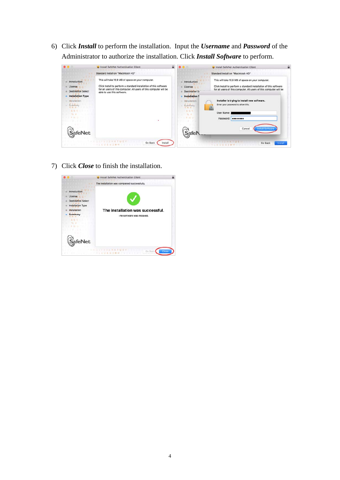6) Click *Install* to perform the installation. Input the *Username* and *Password* of the Administrator to authorize the installation. Click *Install Software* to perform.

|                                                            | Install SafeNet Authentication Client                                                                                                                                                                                      | ₽ |                                                                                 | Install SafeNet Authentication Client                                                                                                                                                        |
|------------------------------------------------------------|----------------------------------------------------------------------------------------------------------------------------------------------------------------------------------------------------------------------------|---|---------------------------------------------------------------------------------|----------------------------------------------------------------------------------------------------------------------------------------------------------------------------------------------|
|                                                            | Standard Install on "Macintosh HD"                                                                                                                                                                                         |   |                                                                                 | Standard Install on "Macintosh HD"                                                                                                                                                           |
| Introduction<br>License<br><b>Destination Select</b>       | This will take 10.9 MB of space on your computer.<br>Click Install to perform a standard installation of this software<br>for all users of this computer. All users of this computer will be<br>able to use this software. |   | Introduction<br>License<br><b>Destination Sr</b>                                | This will take 10.9 MB of space on your computer.<br>Click Install to perform a standard installation of this software<br>for all users of this computer. All users of this computer will be |
| <b>Installation Type</b><br>Installation<br>Summary<br>云云ふ |                                                                                                                                                                                                                            |   | <b>Installation T</b><br>Installation<br>Summary<br>电报 假<br>665<br><b>No. 4</b> | Installer is trying to install new software.<br>Enter your password to allow this.<br>User Name:                                                                                             |
| <b>BY WHO</b><br><b>feNet</b>                              |                                                                                                                                                                                                                            |   | <b>B</b> 59 L                                                                   | Password: <b>ODDDDDDD</b><br>Cancel<br>stall Software                                                                                                                                        |
|                                                            | Go Back<br>Install                                                                                                                                                                                                         |   |                                                                                 | Go Back                                                                                                                                                                                      |

7) Click *Close* to finish the installation.

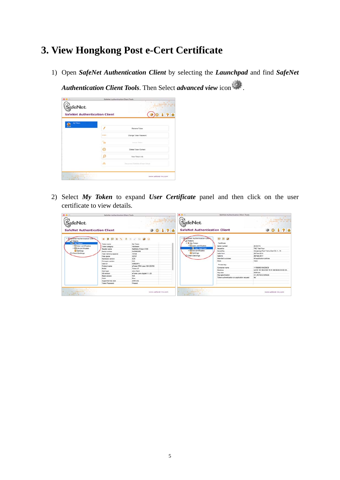### **3. View Hongkong Post e-Cert Certificate**

1) Open *SafeNet Authentication Client* by selecting the *Launchpad* and find *SafeNet* 

*Authentication Client Tools*. Then Select *advanced view* icon .

|                                                                            |             | SafeNet Authentication Client Tools<br>THE REPORT FOR THE REAL PROPERTY.<br>CONTRACTORYSALE CONTRACTO |
|----------------------------------------------------------------------------|-------------|-------------------------------------------------------------------------------------------------------|
| SafeNet.                                                                   |             | <b>カバンバ (まま物で集計を主張の時間を主要を</b><br>THE SEASON PRINTING CONTROL<br><b>STATES CONTINUES</b>               |
| <b>SafeNet Authentication Client</b>                                       |             | 1 7 a                                                                                                 |
| My Token:                                                                  |             | Rename Token                                                                                          |
|                                                                            | <b>SAFE</b> | Change Token Password                                                                                 |
|                                                                            |             | Union Takers                                                                                          |
|                                                                            | ⊙           | Delinte Token Content                                                                                 |
|                                                                            |             | View Token Info                                                                                       |
|                                                                            |             | Discovered Retarbet a Token Virtual.                                                                  |
| <b>STATISTICS IN ALL AND RESERVE</b><br>41.677560 (1933) 13484415471111111 |             |                                                                                                       |
| THE REACTIFICATION COMPANY<br><b>NEWSLETTED DIRECTOR</b> CONTROL           |             | www.safenet-inc.com                                                                                   |

2) Select *My Token* to expand *User Certificate* panel and then click on the user certificate to view details.

| <b>SafeNet</b><br><b>SafeNet Authentication Client</b>                                                                                                                                                                                                                                                                                                                                                                                            | <b>TOTOTOMAS ANTIQUES</b><br>THE REAL PROPERTY AND LONGITUDES.<br><b>AND STATEMENTS IN ARTS</b><br>T 4 81 7 8 9 1 0 0 4 8 1 1 1 2 3 1 4 5 7 8<br>W-TRACTA REPORT CONSTRUCTS<br>THE R. P. LEWIS CO., LANSING, MICH. 49-14039-1-120-2<br><b>99178</b>                              | SafeNet                                                                                                                                                                                                                                                                                                                                                                                                                                                                         | <b>TO A CAT TO BE A 2 YO F A R T ET</b><br>THE REPORT FOR TAXABLE PERSONAL<br><b>FALL/211156640051611661</b><br>(4) 《本語集》本本书第三六本 (第二) 题类(6)<br>TARTER CYPLICA AVAILABLE<br>「エータチインコンアミドー」 ビークストランスマス<br>1999年11月18日 第1日 第1日                       |
|---------------------------------------------------------------------------------------------------------------------------------------------------------------------------------------------------------------------------------------------------------------------------------------------------------------------------------------------------------------------------------------------------------------------------------------------------|----------------------------------------------------------------------------------------------------------------------------------------------------------------------------------------------------------------------------------------------------------------------------------|---------------------------------------------------------------------------------------------------------------------------------------------------------------------------------------------------------------------------------------------------------------------------------------------------------------------------------------------------------------------------------------------------------------------------------------------------------------------------------|---------------------------------------------------------------------------------------------------------------------------------------------------------------------------------------------------------------------------------------------------|
|                                                                                                                                                                                                                                                                                                                                                                                                                                                   |                                                                                                                                                                                                                                                                                  |                                                                                                                                                                                                                                                                                                                                                                                                                                                                                 |                                                                                                                                                                                                                                                   |
|                                                                                                                                                                                                                                                                                                                                                                                                                                                   |                                                                                                                                                                                                                                                                                  | <b>SafeNet Authentication Client</b>                                                                                                                                                                                                                                                                                                                                                                                                                                            | <b>99178</b>                                                                                                                                                                                                                                      |
| * Suprehiet Authentication Clerk<br>as Tokens<br><b>Y G My Token</b><br>Token name<br>> El User certificates<br>Token category<br>> CA certificates<br>Reader name<br>G Settings<br>Serial number<br>Client Settings<br>Total memory capacity<br>Free space<br><b>Hardware version</b><br>Firmware version<br>Card ID<br>Product name<br>Model<br>Card type<br>OS version<br>Mask version<br>Color<br>Supported key size<br><b>Token Password</b> | .<br>1.<br>68 60<br>My Token<br>Hardware<br>Safehiet eTpken 5100<br>0x008826f5<br>73728<br>32767<br>4.25<br>NA<br>008826F5<br>eToken PRO Java 72K OS755<br>Token 30<br>Java Card<br>eToken Java Applet 1.1.25<br><b>NIA</b><br>Diam <sup>2</sup><br>2048 bits.<br><b>Present</b> | * Si SafeNet Authentication Clerk<br><b>OB</b><br>of Tokers<br>* <b>Je My Token</b><br>Certificate:<br>v El User certificates<br>Serial number<br><b>DB</b> TNC Test Four<br>lesued to<br><b>&gt; ElCA certificates</b><br>lessed by<br><b>D</b> Settings<br><b>Valid from</b><br>Client Settings<br>Valid to:<br>Intended purposes<br><b>Stute</b><br>Private key<br>Container name<br>Modulus<br>Key size<br>Key specification<br>Token authentication on application request | <b>JE SS FA</b><br>TNC Test Four<br>Hongkong Post Trial e-Cert CA 1 - 10<br>28-Feb-2014<br>38.Fab.2017<br>All application policies<br>Valid<br>11785993164236C9<br>AA 5C 3E D8 43 95 78 51 88 59 06 29 90 83<br>2048 bits<br>AT KEYEKCHANGE<br>No |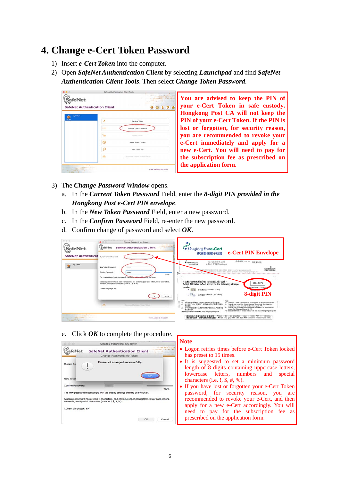### **4. Change e-Cert Token Password**

- 1) Insert *e-Cert Token* into the computer.
- 2) Open *SafeNet Authentication Client* by selecting *Launchpad* and find *SafeNet Authentication Client Tools*. Then select *Change Token Password.*



**You are advised to keep the PIN of your e-Cert Token in safe custody. Hongkong Post CA will not keep the PIN of your e-Cert Token. If the PIN is lost or forgotten, for security reason, you are recommended to revoke your e-Cert immediately and apply for a new e-Cert. You will need to pay for the subscription fee as prescribed on the application form.**

- 3) The *Change Password Window* opens.
	- a. In the *Current Token Password* Field, enter the *8-digit PIN provided in the Hongkong Post e-Cert PIN envelope*.
	- b. In the *New Token Password* Field, enter a new password.
	- c. In the *Confirm Password* Field, re-enter the new password.
	- d. Confirm change of password and select *OK*.



e. Click *OK* to complete the procedure.